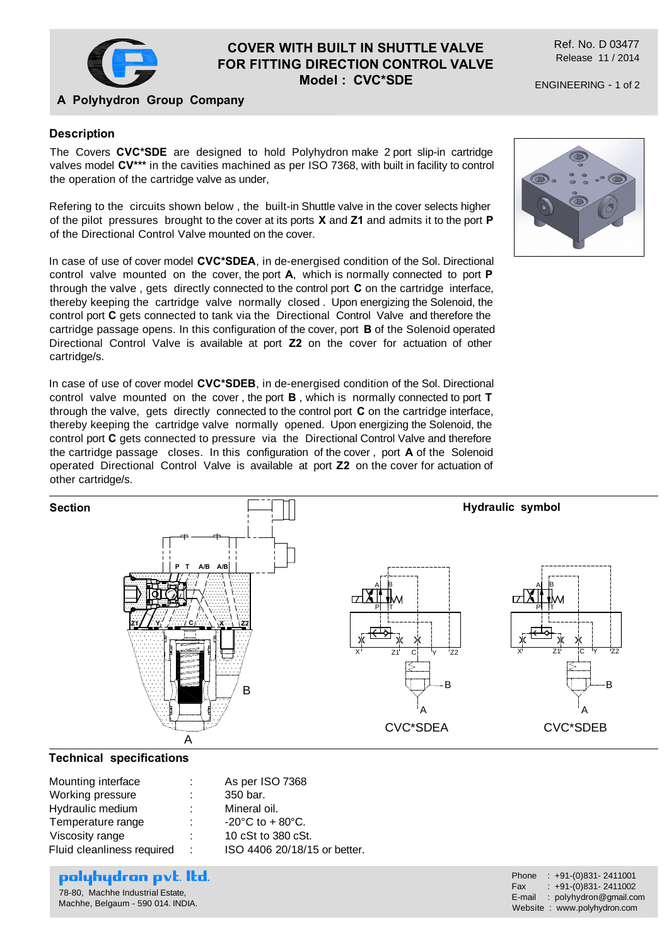

## **COVER WITH BUILT IN SHUTTLE VALVE FOR FITTING DIRECTION CONTROL VALVE Model : CVC\*SDE**

Ref. No. D 03477 Release 11 / 2014

ENGINEERING - 1 of 2

## **A Polyhydron Group Company**

## **Description**

The Covers **CVC\*SDE** are designed to hold Polyhydron make 2 port slip-in cartridge valves model **CV\*\*\*** in the cavities machined as per ISO 7368, with built in facility to control the operation of the cartridge valve as under,

Refering to the circuits shown below , the built-in Shuttle valve in the cover selects higher of the pilot pressures brought to the cover at its ports **X** and **Z1** and admits it to the port **P** of the Directional Control Valve mounted on the cover.

In case of use of cover model **CVC\*SDEA**, in de-energised condition of the Sol. Directional control valve mounted on the cover, the port **A**, which is normally connected to port **P** through the valve , gets directly connected to the control port **C** on the cartridge interface, thereby keeping the cartridge valve normally closed . Upon energizing the Solenoid, the control port **C** gets connected to tank via the Directional Control Valve and therefore the cartridge passage opens. In this configuration of the cover, port **B** of the Solenoid operated Directional Control Valve is available at port **Z2** on the cover for actuation of other cartridge/s.

In case of use of cover model **CVC\*SDEB**, in de-energised condition of the Sol. Directional control valve mounted on the cover , the port **B** , which is normally connected to port **T** through the valve, gets directly connected to the control port **C** on the cartridge interface, thereby keeping the cartridge valve normally opened. Upon energizing the Solenoid, the control port **C** gets connected to pressure via the Directional Control Valve and therefore the cartridge passage closes. In this configuration of the cover , port **A** of the Solenoid operated Directional Control Valve is available at port **Z2** on the cover for actuation of other cartridge/s.



### **Technical specifications**

| Mounting interface         | t. | As per ISO 7368                       |
|----------------------------|----|---------------------------------------|
| Working pressure           |    | 350 bar.                              |
| Hydraulic medium           | ÷. | Mineral oil.                          |
| Temperature range          | ÷. | $-20^{\circ}$ C to + 80 $^{\circ}$ C. |
| Viscosity range            | t. | 10 cSt to 380 cSt.                    |
| Fluid cleanliness required | ÷  | ISO 4406 20/18/15 or better.          |

# polyhydron pvt. Itd.

78-80, Machhe Industrial Estate, Machhe, Belgaum - 590 014. INDIA. Phone : +91-(0)831-2411001<br>Fax : +91-(0)831-2411002  $: +91-(0)831-2411002$ E-mail : polyhydron@gmail.com Website : www.polyhydron.com